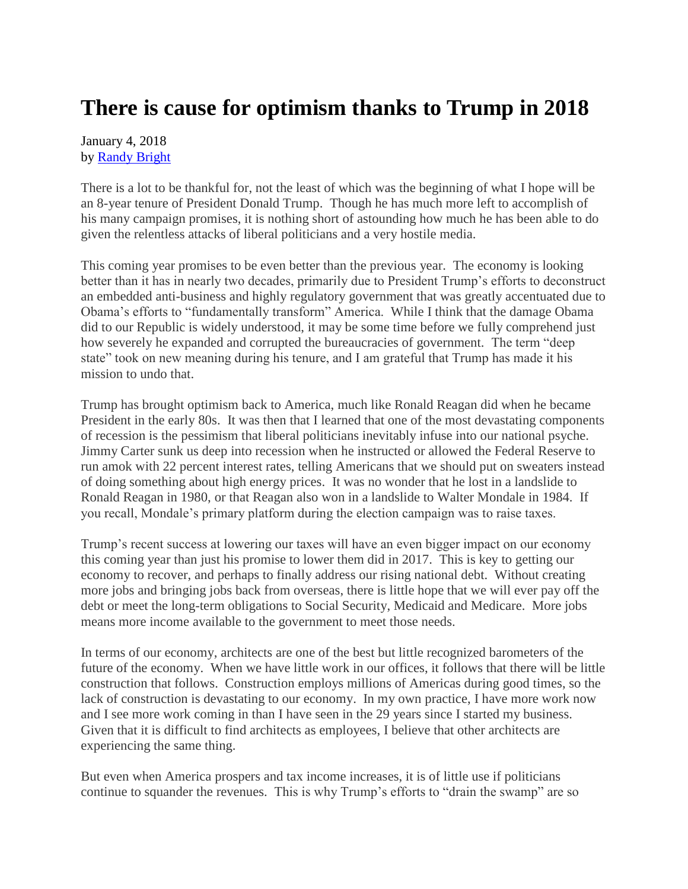## **There is cause for optimism thanks to Trump in 2018**

January 4, 2018 by [Randy Bright](http://tulsabeacon.com/writers/randy-bright/)

There is a lot to be thankful for, not the least of which was the beginning of what I hope will be an 8-year tenure of President Donald Trump. Though he has much more left to accomplish of his many campaign promises, it is nothing short of astounding how much he has been able to do given the relentless attacks of liberal politicians and a very hostile media.

This coming year promises to be even better than the previous year. The economy is looking better than it has in nearly two decades, primarily due to President Trump's efforts to deconstruct an embedded anti-business and highly regulatory government that was greatly accentuated due to Obama's efforts to "fundamentally transform" America. While I think that the damage Obama did to our Republic is widely understood, it may be some time before we fully comprehend just how severely he expanded and corrupted the bureaucracies of government. The term "deep state" took on new meaning during his tenure, and I am grateful that Trump has made it his mission to undo that.

Trump has brought optimism back to America, much like Ronald Reagan did when he became President in the early 80s. It was then that I learned that one of the most devastating components of recession is the pessimism that liberal politicians inevitably infuse into our national psyche. Jimmy Carter sunk us deep into recession when he instructed or allowed the Federal Reserve to run amok with 22 percent interest rates, telling Americans that we should put on sweaters instead of doing something about high energy prices. It was no wonder that he lost in a landslide to Ronald Reagan in 1980, or that Reagan also won in a landslide to Walter Mondale in 1984. If you recall, Mondale's primary platform during the election campaign was to raise taxes.

Trump's recent success at lowering our taxes will have an even bigger impact on our economy this coming year than just his promise to lower them did in 2017. This is key to getting our economy to recover, and perhaps to finally address our rising national debt. Without creating more jobs and bringing jobs back from overseas, there is little hope that we will ever pay off the debt or meet the long-term obligations to Social Security, Medicaid and Medicare. More jobs means more income available to the government to meet those needs.

In terms of our economy, architects are one of the best but little recognized barometers of the future of the economy. When we have little work in our offices, it follows that there will be little construction that follows. Construction employs millions of Americas during good times, so the lack of construction is devastating to our economy. In my own practice, I have more work now and I see more work coming in than I have seen in the 29 years since I started my business. Given that it is difficult to find architects as employees, I believe that other architects are experiencing the same thing.

But even when America prospers and tax income increases, it is of little use if politicians continue to squander the revenues. This is why Trump's efforts to "drain the swamp" are so